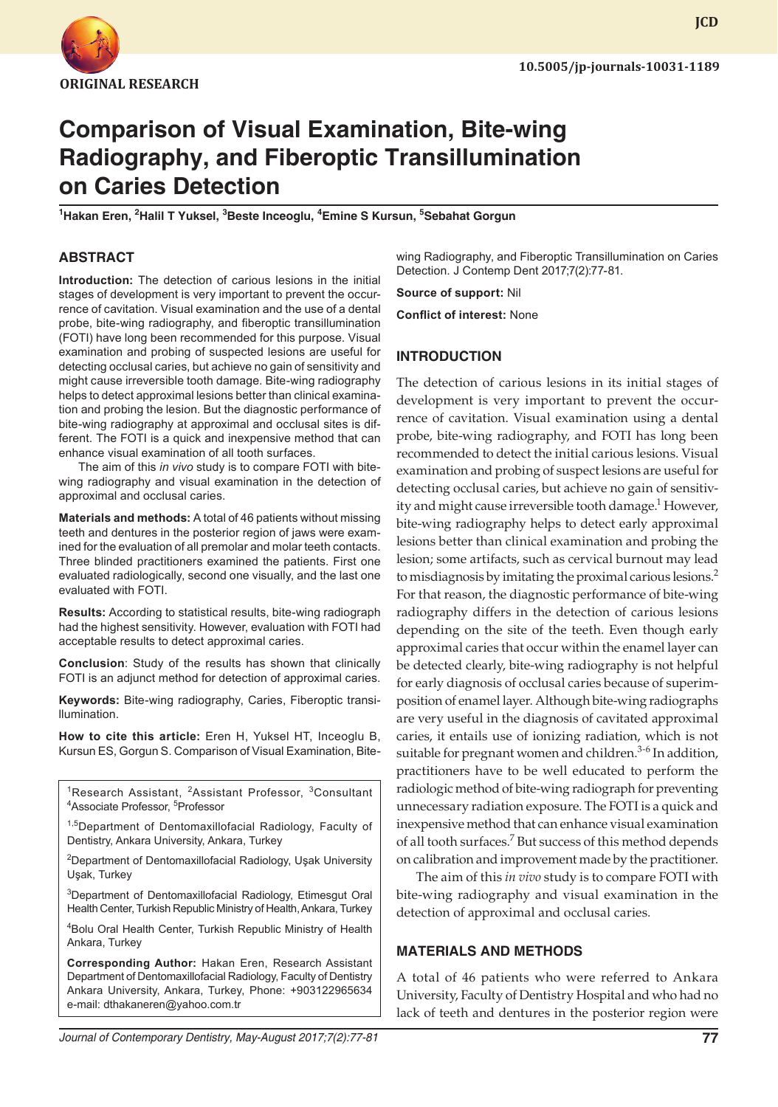

# **Comparison of Visual Examination, Bite-wing Radiography, and Fiberoptic Transillumination on Caries Detection**

<sup>1</sup>Hakan Eren, <sup>2</sup>Halil T Yuksel, <sup>3</sup>Beste Inceoglu, <sup>4</sup>Emine S Kursun, <sup>5</sup>Sebahat Gorgun

# **ABSTRACT**

**Introduction:** The detection of carious lesions in the initial stages of development is very important to prevent the occurrence of cavitation. Visual examination and the use of a dental probe, bite-wing radiography, and fiberoptic transillumination (FOTI) have long been recommended for this purpose. Visual examination and probing of suspected lesions are useful for detecting occlusal caries, but achieve no gain of sensitivity and might cause irreversible tooth damage. Bite-wing radiography helps to detect approximal lesions better than clinical examination and probing the lesion. But the diagnostic performance of bite-wing radiography at approximal and occlusal sites is different. The FOTI is a quick and inexpensive method that can enhance visual examination of all tooth surfaces.

The aim of this *in vivo* study is to compare FOTI with bitewing radiography and visual examination in the detection of approximal and occlusal caries.

**Materials and methods:** A total of 46 patients without missing teeth and dentures in the posterior region of jaws were examined for the evaluation of all premolar and molar teeth contacts. Three blinded practitioners examined the patients. First one evaluated radiologically, second one visually, and the last one evaluated with FOTI.

**Results:** According to statistical results, bite-wing radiograph had the highest sensitivity. However, evaluation with FOTI had acceptable results to detect approximal caries.

**Conclusion**: Study of the results has shown that clinically FOTI is an adjunct method for detection of approximal caries.

**Keywords:** Bite-wing radiography, Caries, Fiberoptic transillumination.

**How to cite this article:** Eren H, Yuksel HT, Inceoglu B, Kursun ES, Gorgun S. Comparison of Visual Examination, Bite-

<sup>1</sup>Research Assistant, <sup>2</sup>Assistant Professor, <sup>3</sup>Consultant Associate Professor, <sup>5</sup>Professor

<sup>1,5</sup>Department of Dentomaxillofacial Radiology, Faculty of Dentistry, Ankara University, Ankara, Turkey

<sup>2</sup>Department of Dentomaxillofacial Radiology, Uşak University Uşak, Turkey

3 Department of Dentomaxillofacial Radiology, Etimesgut Oral Health Center, Turkish Republic Ministry of Health, Ankara, Turkey

4 Bolu Oral Health Center, Turkish Republic Ministry of Health Ankara, Turkey

**Corresponding Author:** Hakan Eren, Research Assistant Department of Dentomaxillofacial Radiology, Faculty of Dentistry Ankara University, Ankara, Turkey, Phone: +903122965634 e-mail: dthakaneren@yahoo.com.tr

wing Radiography, and Fiberoptic Transillumination on Caries Detection. J Contemp Dent 2017;7(2):77-81.

**Source of support:** Nil

**Conflict of interest:** None

# **INTRODUCTION**

The detection of carious lesions in its initial stages of development is very important to prevent the occurrence of cavitation. Visual examination using a dental probe, bite-wing radiography, and FOTI has long been recommended to detect the initial carious lesions. Visual examination and probing of suspect lesions are useful for detecting occlusal caries, but achieve no gain of sensitivity and might cause irreversible tooth damage.<sup>1</sup> However, bite-wing radiography helps to detect early approximal lesions better than clinical examination and probing the lesion; some artifacts, such as cervical burnout may lead to misdiagnosis by imitating the proximal carious lesions.<sup>2</sup> For that reason, the diagnostic performance of bite-wing radiography differs in the detection of carious lesions depending on the site of the teeth. Even though early approximal caries that occur within the enamel layer can be detected clearly, bite-wing radiography is not helpful for early diagnosis of occlusal caries because of superimposition of enamel layer. Although bite-wing radiographs are very useful in the diagnosis of cavitated approximal caries, it entails use of ionizing radiation, which is not suitable for pregnant women and children.<sup>3-6</sup> In addition, practitioners have to be well educated to perform the radiologic method of bite-wing radiograph for preventing unnecessary radiation exposure. The FOTI is a quick and inexpensive method that can enhance visual examination of all tooth surfaces.<sup>7</sup> But success of this method depends on calibration and improvement made by the practitioner.

The aim of this *in vivo* study is to compare FOTI with bite-wing radiography and visual examination in the detection of approximal and occlusal caries.

### **MATERIALS AND METHODS**

A total of 46 patients who were referred to Ankara University, Faculty of Dentistry Hospital and who had no lack of teeth and dentures in the posterior region were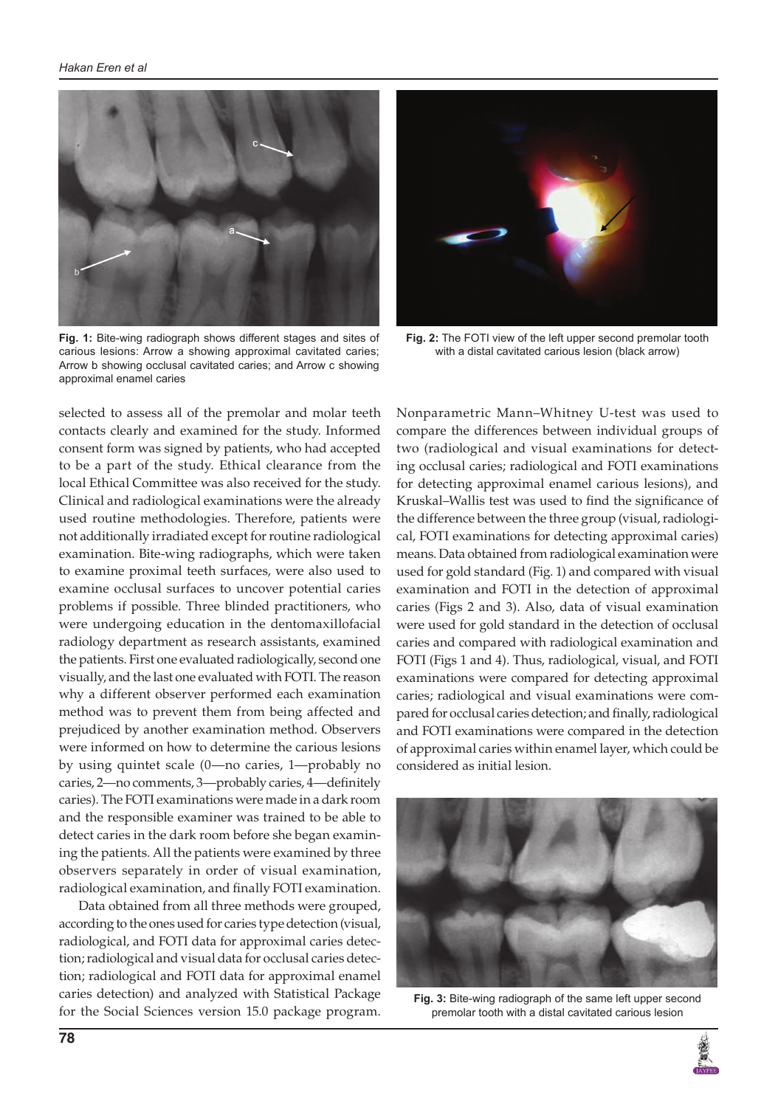

**Fig. 1:** Bite-wing radiograph shows different stages and sites of carious lesions: Arrow a showing approximal cavitated caries; Arrow b showing occlusal cavitated caries; and Arrow c showing approximal enamel caries

selected to assess all of the premolar and molar teeth contacts clearly and examined for the study. Informed consent form was signed by patients, who had accepted to be a part of the study. Ethical clearance from the local Ethical Committee was also received for the study. Clinical and radiological examinations were the already used routine methodologies. Therefore, patients were not additionally irradiated except for routine radiological examination. Bite-wing radiographs, which were taken to examine proximal teeth surfaces, were also used to examine occlusal surfaces to uncover potential caries problems if possible. Three blinded practitioners, who were undergoing education in the dentomaxillofacial radiology department as research assistants, examined the patients. First one evaluated radiologically, second one visually, and the last one evaluated with FOTI. The reason why a different observer performed each examination method was to prevent them from being affected and prejudiced by another examination method. Observers were informed on how to determine the carious lesions by using quintet scale (0—no caries, 1—probably no caries, 2—no comments, 3—probably caries, 4—definitely caries). The FOTI examinations were made in a dark room and the responsible examiner was trained to be able to detect caries in the dark room before she began examining the patients. All the patients were examined by three observers separately in order of visual examination, radiological examination, and finally FOTI examination.

Data obtained from all three methods were grouped, according to the ones used for caries type detection (visual, radiological, and FOTI data for approximal caries detection; radiological and visual data for occlusal caries detection; radiological and FOTI data for approximal enamel caries detection) and analyzed with Statistical Package for the Social Sciences version 15.0 package program.



**Fig. 2:** The FOTI view of the left upper second premolar tooth with a distal cavitated carious lesion (black arrow)

Nonparametric Mann–Whitney U-test was used to compare the differences between individual groups of two (radiological and visual examinations for detecting occlusal caries; radiological and FOTI examinations for detecting approximal enamel carious lesions), and Kruskal–Wallis test was used to find the significance of the difference between the three group (visual, radiological, FOTI examinations for detecting approximal caries) means. Data obtained from radiological examination were used for gold standard (Fig. 1) and compared with visual examination and FOTI in the detection of approximal caries (Figs 2 and 3). Also, data of visual examination were used for gold standard in the detection of occlusal caries and compared with radiological examination and FOTI (Figs 1 and 4). Thus, radiological, visual, and FOTI examinations were compared for detecting approximal caries; radiological and visual examinations were compared for occlusal caries detection; and finally, radiological and FOTI examinations were compared in the detection of approximal caries within enamel layer, which could be considered as initial lesion.



**Fig. 3:** Bite-wing radiograph of the same left upper second premolar tooth with a distal cavitated carious lesion

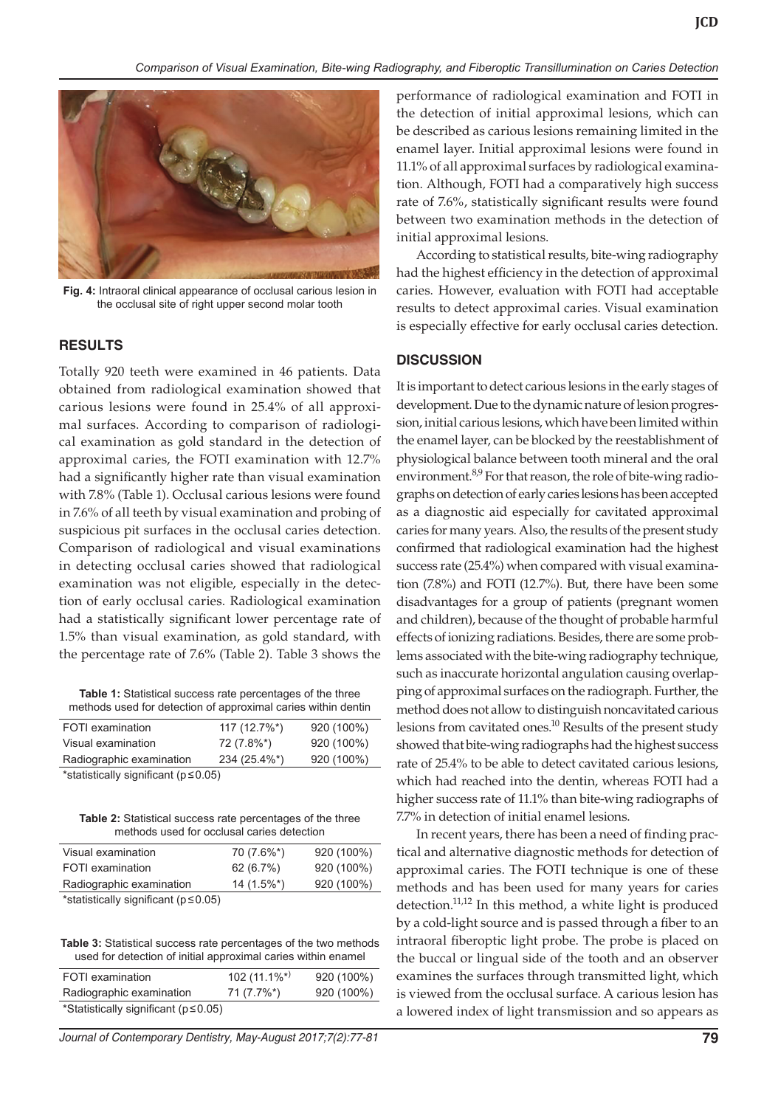

**Fig. 4:** Intraoral clinical appearance of occlusal carious lesion in the occlusal site of right upper second molar tooth

### **RESULTS**

Totally 920 teeth were examined in 46 patients. Data obtained from radiological examination showed that carious lesions were found in 25.4% of all approximal surfaces. According to comparison of radiological examination as gold standard in the detection of approximal caries, the FOTI examination with 12.7% had a significantly higher rate than visual examination with 7.8% (Table 1). Occlusal carious lesions were found in 7.6% of all teeth by visual examination and probing of suspicious pit surfaces in the occlusal caries detection. Comparison of radiological and visual examinations in detecting occlusal caries showed that radiological examination was not eligible, especially in the detection of early occlusal caries. Radiological examination had a statistically significant lower percentage rate of 1.5% than visual examination, as gold standard, with the percentage rate of 7.6% (Table 2). Table 3 shows the

**Table 1:** Statistical success rate percentages of the three methods used for detection of approximal caries within dentin

| Radiographic examination | 234 (25.4%*)  | 920 (100%) |
|--------------------------|---------------|------------|
| Visual examination       | 72 (7.8%*)    | 920 (100%) |
| FOTI examination         | $117(12.7\%)$ | 920 (100%) |

\*statistically significant (p≤0.05)

**Table 2:** Statistical success rate percentages of the three methods used for occlusal caries detection

| Visual examination                         | $70(7.6\%^*)$ | 920 (100%) |
|--------------------------------------------|---------------|------------|
| FOTI examination                           | 62(6.7%)      | 920 (100%) |
| Radiographic examination                   | $14(1.5\%^*)$ | 920 (100%) |
| $*$ ototiotioally oignificant $(n < 0.05)$ |               |            |

\*statistically significant (p≤0.05)

**Table 3:** Statistical success rate percentages of the two methods used for detection of initial approximal caries within enamel

| FOTI examination                            | 102 $(11.1\%^{*})$ | 920 (100%) |
|---------------------------------------------|--------------------|------------|
| Radiographic examination                    | 71 (7.7%*)         | 920 (100%) |
| *Statistically significant ( $p \le 0.05$ ) |                    |            |

*Journal of Contemporary Dentistry, May-August 2017;7(2):77-81* **79**

performance of radiological examination and FOTI in the detection of initial approximal lesions, which can be described as carious lesions remaining limited in the enamel layer. Initial approximal lesions were found in 11.1% of all approximal surfaces by radiological examination. Although, FOTI had a comparatively high success rate of 7.6%, statistically significant results were found between two examination methods in the detection of initial approximal lesions.

According to statistical results, bite-wing radiography had the highest efficiency in the detection of approximal caries. However, evaluation with FOTI had acceptable results to detect approximal caries. Visual examination is especially effective for early occlusal caries detection.

#### **DISCUSSION**

It is important to detect carious lesions in the early stages of development. Due to the dynamic nature of lesion progression, initial carious lesions, which have been limited within the enamel layer, can be blocked by the reestablishment of physiological balance between tooth mineral and the oral environment.<sup>8,9</sup> For that reason, the role of bite-wing radiographs on detection of early caries lesions has been accepted as a diagnostic aid especially for cavitated approximal caries for many years. Also, the results of the present study confirmed that radiological examination had the highest success rate (25.4%) when compared with visual examination (7.8%) and FOTI (12.7%). But, there have been some disadvantages for a group of patients (pregnant women and children), because of the thought of probable harmful effects of ionizing radiations. Besides, there are some problems associated with the bite-wing radiography technique, such as inaccurate horizontal angulation causing overlapping of approximal surfaces on the radiograph. Further, the method does not allow to distinguish noncavitated carious lesions from cavitated ones.<sup>10</sup> Results of the present study showed that bite-wing radiographs had the highest success rate of 25.4% to be able to detect cavitated carious lesions, which had reached into the dentin, whereas FOTI had a higher success rate of 11.1% than bite-wing radiographs of 7.7% in detection of initial enamel lesions.

In recent years, there has been a need of finding practical and alternative diagnostic methods for detection of approximal caries. The FOTI technique is one of these methods and has been used for many years for caries detection.<sup>11,12</sup> In this method, a white light is produced by a cold-light source and is passed through a fiber to an intraoral fiberoptic light probe. The probe is placed on the buccal or lingual side of the tooth and an observer examines the surfaces through transmitted light, which is viewed from the occlusal surface. A carious lesion has a lowered index of light transmission and so appears as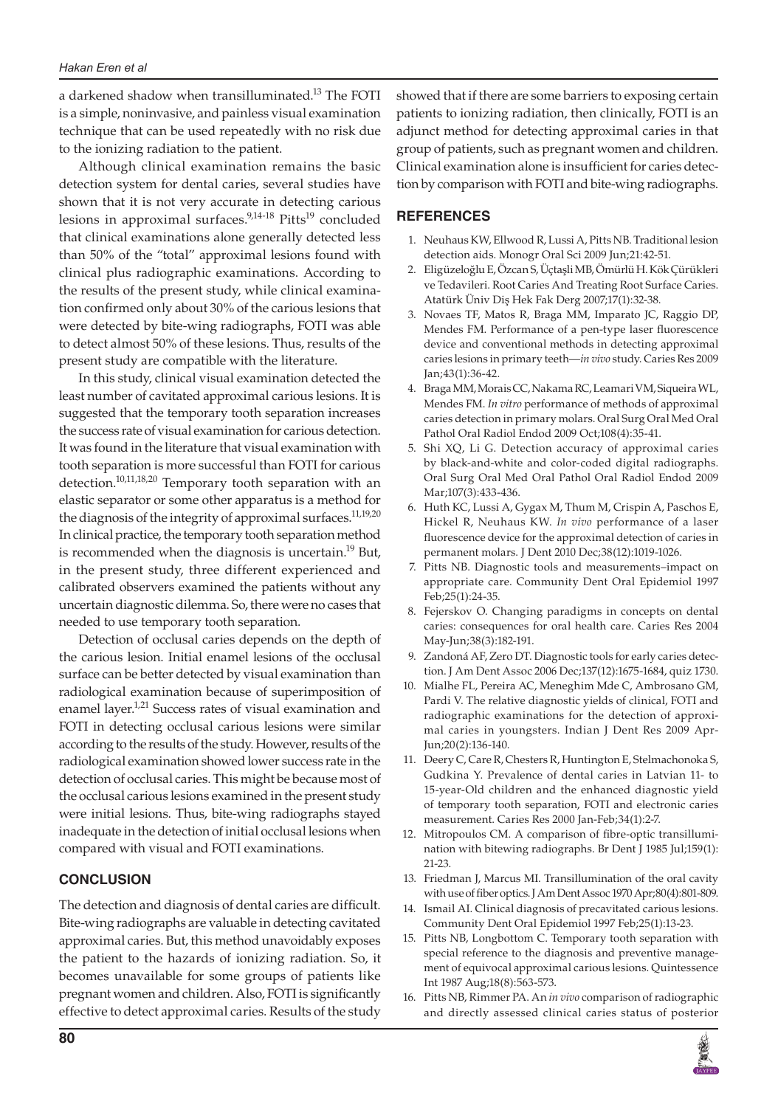a darkened shadow when transilluminated.<sup>13</sup> The FOTI is a simple, noninvasive, and painless visual examination technique that can be used repeatedly with no risk due to the ionizing radiation to the patient.

Although clinical examination remains the basic detection system for dental caries, several studies have shown that it is not very accurate in detecting carious lesions in approximal surfaces.<sup>9,14-18</sup> Pitts<sup>19</sup> concluded that clinical examinations alone generally detected less than 50% of the "total" approximal lesions found with clinical plus radiographic examinations. According to the results of the present study, while clinical examination confirmed only about 30% of the carious lesions that were detected by bite-wing radiographs, FOTI was able to detect almost 50% of these lesions. Thus, results of the present study are compatible with the literature.

In this study, clinical visual examination detected the least number of cavitated approximal carious lesions. It is suggested that the temporary tooth separation increases the success rate of visual examination for carious detection. It was found in the literature that visual examination with tooth separation is more successful than FOTI for carious detection.<sup>10,11,18,20</sup> Temporary tooth separation with an elastic separator or some other apparatus is a method for the diagnosis of the integrity of approximal surfaces.<sup>11,19,20</sup> In clinical practice, the temporary tooth separation method is recommended when the diagnosis is uncertain.<sup>19</sup> But, in the present study, three different experienced and calibrated observers examined the patients without any uncertain diagnostic dilemma. So, there were no cases that needed to use temporary tooth separation.

Detection of occlusal caries depends on the depth of the carious lesion. Initial enamel lesions of the occlusal surface can be better detected by visual examination than radiological examination because of superimposition of enamel layer.<sup>1,21</sup> Success rates of visual examination and FOTI in detecting occlusal carious lesions were similar according to the results of the study. However, results of the radiological examination showed lower success rate in the detection of occlusal caries. This might be because most of the occlusal carious lesions examined in the present study were initial lesions. Thus, bite-wing radiographs stayed inadequate in the detection of initial occlusal lesions when compared with visual and FOTI examinations.

### **CONCLUSION**

The detection and diagnosis of dental caries are difficult. Bite-wing radiographs are valuable in detecting cavitated approximal caries. But, this method unavoidably exposes the patient to the hazards of ionizing radiation. So, it becomes unavailable for some groups of patients like pregnant women and children. Also, FOTI is significantly effective to detect approximal caries. Results of the study

showed that if there are some barriers to exposing certain patients to ionizing radiation, then clinically, FOTI is an adjunct method for detecting approximal caries in that group of patients, such as pregnant women and children. Clinical examination alone is insufficient for caries detection by comparison with FOTI and bite-wing radiographs.

## **REFERENCES**

- 1. Neuhaus KW, Ellwood R, Lussi A, Pitts NB. Traditional lesion detection aids. Monogr Oral Sci 2009 Jun;21:42-51.
- 2. Eligüzeloğlu E, Özcan S, Üçtaşli MB, Ömürlü H. Kök Çürükleri ve Tedavileri. Root Caries And Treating Root Surface Caries. Atatürk Üniv Diş Hek Fak Derg 2007;17(1):32-38.
- 3. Novaes TF, Matos R, Braga MM, Imparato JC, Raggio DP, Mendes FM. Performance of a pen-type laser fluorescence device and conventional methods in detecting approximal caries lesions in primary teeth—*in vivo* study. Caries Res 2009 Jan;43(1):36-42.
- 4. Braga MM, Morais CC, Nakama RC, Leamari VM, Siqueira WL, Mendes FM. *In vitro* performance of methods of approximal caries detection in primary molars. Oral Surg Oral Med Oral Pathol Oral Radiol Endod 2009 Oct;108(4):35-41.
- 5. Shi XQ, Li G. Detection accuracy of approximal caries by black-and-white and color-coded digital radiographs. Oral Surg Oral Med Oral Pathol Oral Radiol Endod 2009 Mar;107(3):433-436.
- 6. Huth KC, Lussi A, Gygax M, Thum M, Crispin A, Paschos E, Hickel R, Neuhaus KW. *In vivo* performance of a laser fluorescence device for the approximal detection of caries in permanent molars. J Dent 2010 Dec;38(12):1019-1026.
- Pitts NB. Diagnostic tools and measurements–impact on appropriate care. Community Dent Oral Epidemiol 1997 Feb;25(1):24-35.
- 8. Fejerskov O. Changing paradigms in concepts on dental caries: consequences for oral health care. Caries Res 2004 May-Jun;38(3):182-191.
- Zandoná AF, Zero DT. Diagnostic tools for early caries detection. J Am Dent Assoc 2006 Dec;137(12):1675-1684, quiz 1730.
- 10. Mialhe FL, Pereira AC, Meneghim Mde C, Ambrosano GM, Pardi V. The relative diagnostic yields of clinical, FOTI and radiographic examinations for the detection of approximal caries in youngsters. Indian J Dent Res 2009 Apr-Jun;20(2):136-140.
- 11. Deery C, Care R, Chesters R, Huntington E, Stelmachonoka S, Gudkina Y. Prevalence of dental caries in Latvian 11- to 15-year-Old children and the enhanced diagnostic yield of temporary tooth separation, FOTI and electronic caries measurement. Caries Res 2000 Jan-Feb;34(1):2-7.
- 12. Mitropoulos CM. A comparison of fibre-optic transillumination with bitewing radiographs. Br Dent J 1985 Jul;159(1): 21-23.
- 13. Friedman J, Marcus MI. Transillumination of the oral cavity with use of fiber optics. J Am Dent Assoc 1970 Apr;80(4):801-809.
- 14. Ismail AI. Clinical diagnosis of precavitated carious lesions. Community Dent Oral Epidemiol 1997 Feb;25(1):13-23.
- 15. Pitts NB, Longbottom C. Temporary tooth separation with special reference to the diagnosis and preventive management of equivocal approximal carious lesions. Quintessence Int 1987 Aug;18(8):563-573.
- 16. Pitts NB, Rimmer PA. An *in vivo* comparison of radiographic and directly assessed clinical caries status of posterior